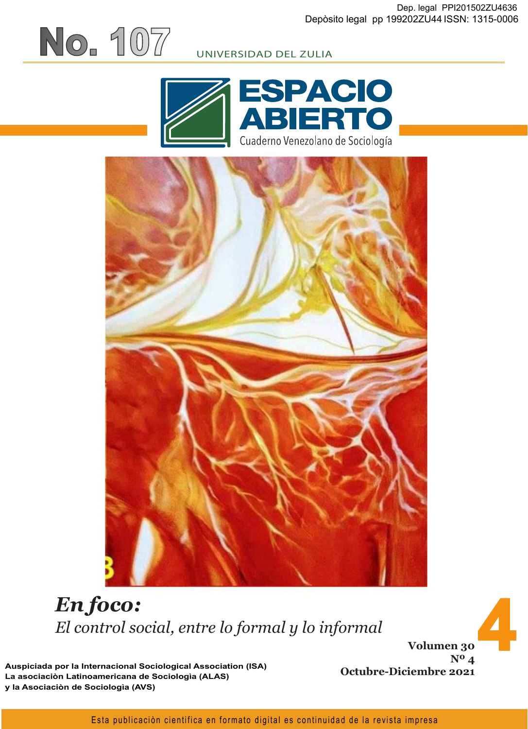#### UNIVERSIDAD DEL ZULIA





# *En foco: El control social, entre lo formal y lo informal*

**Volumen 30 Nº 4 Octubre-Diciembre 2021**

**4**

**Auspiciada por la Internacional Sociological Association (ISA) La asociaciòn Latinoamericana de Sociologìa (ALAS) y la Asociaciòn de Sociologìa (AVS)**

**No. 107**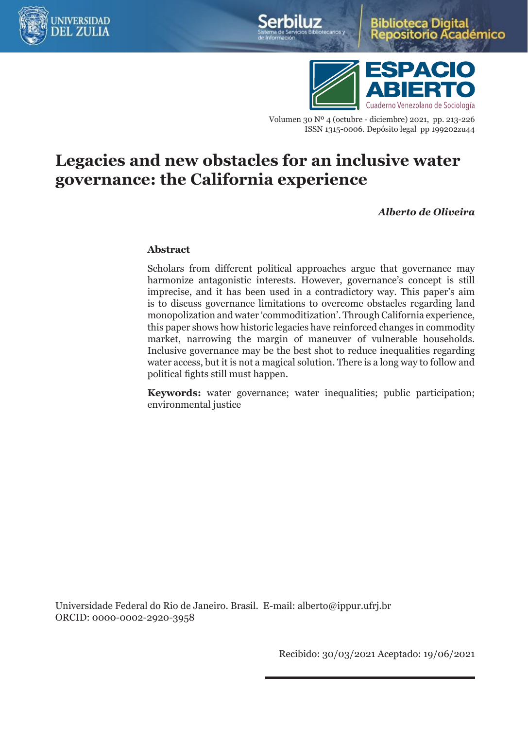



démico



Volumen 30 Nº 4 (octubre - diciembre) 2021, pp. 213-226 ISSN 1315-0006. Depósito legal pp 199202zu44

## **Legacies and new obstacles for an inclusive water governance: the California experience**

*Alberto de Oliveira* 

#### **Abstract**

Scholars from different political approaches argue that governance may harmonize antagonistic interests. However, governance's concept is still imprecise, and it has been used in a contradictory way. This paper's aim is to discuss governance limitations to overcome obstacles regarding land monopolization and water 'commoditization'. Through California experience, this paper shows how historic legacies have reinforced changes in commodity market, narrowing the margin of maneuver of vulnerable households. Inclusive governance may be the best shot to reduce inequalities regarding water access, but it is not a magical solution. There is a long way to follow and political fights still must happen.

**Keywords:** water governance; water inequalities; public participation; environmental justice

Universidade Federal do Rio de Janeiro. Brasil. E-mail: [alberto@ippur.ufrj.br](mailto:alberto@ippur.ufrj.br) ORCID: 0000-0002-2920-3958

Recibido: 30/03/2021 Aceptado: 19/06/2021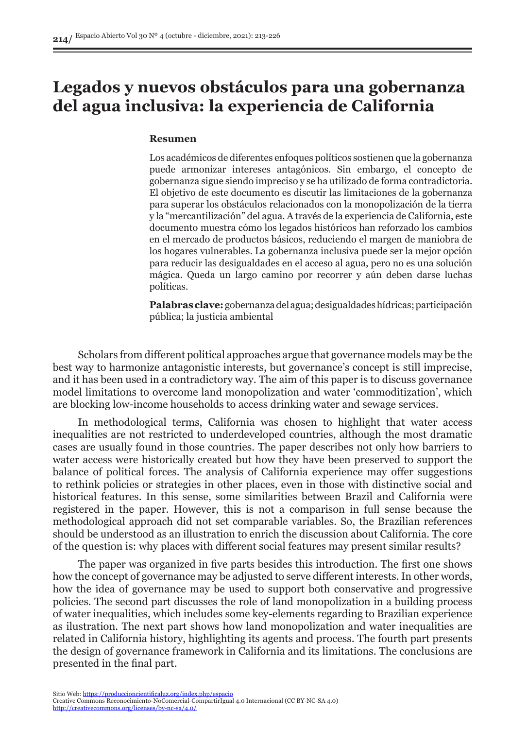## **Legados y nuevos obstáculos para una gobernanza del agua inclusiva: la experiencia de California**

#### **Resumen**

Los académicos de diferentes enfoques políticos sostienen que la gobernanza puede armonizar intereses antagónicos. Sin embargo, el concepto de gobernanza sigue siendo impreciso y se ha utilizado de forma contradictoria. El objetivo de este documento es discutir las limitaciones de la gobernanza para superar los obstáculos relacionados con la monopolización de la tierra y la "mercantilización" del agua. A través de la experiencia de California, este documento muestra cómo los legados históricos han reforzado los cambios en el mercado de productos básicos, reduciendo el margen de maniobra de los hogares vulnerables. La gobernanza inclusiva puede ser la mejor opción para reducir las desigualdades en el acceso al agua, pero no es una solución mágica. Queda un largo camino por recorrer y aún deben darse luchas políticas.

**Palabras clave:** gobernanza del agua; desigualdades hídricas; participación pública; la justicia ambiental

Scholars from different political approaches argue that governance models may be the best way to harmonize antagonistic interests, but governance's concept is still imprecise, and it has been used in a contradictory way. The aim of this paper is to discuss governance model limitations to overcome land monopolization and water 'commoditization', which are blocking low-income households to access drinking water and sewage services.

In methodological terms, California was chosen to highlight that water access inequalities are not restricted to underdeveloped countries, although the most dramatic cases are usually found in those countries. The paper describes not only how barriers to water access were historically created but how they have been preserved to support the balance of political forces. The analysis of California experience may offer suggestions to rethink policies or strategies in other places, even in those with distinctive social and historical features. In this sense, some similarities between Brazil and California were registered in the paper. However, this is not a comparison in full sense because the methodological approach did not set comparable variables. So, the Brazilian references should be understood as an illustration to enrich the discussion about California. The core of the question is: why places with different social features may present similar results?

The paper was organized in five parts besides this introduction. The first one shows how the concept of governance may be adjusted to serve different interests. In other words, how the idea of governance may be used to support both conservative and progressive policies. The second part discusses the role of land monopolization in a building process of water inequalities, which includes some key-elements regarding to Brazilian experience as ilustration. The next part shows how land monopolization and water inequalities are related in California history, highlighting its agents and process. The fourth part presents the design of governance framework in California and its limitations. The conclusions are presented in the final part.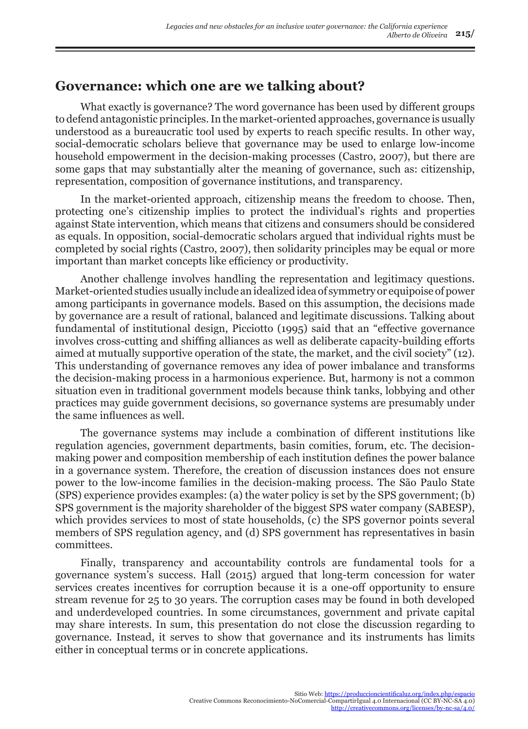## **Governance: which one are we talking about?**

What exactly is governance? The word governance has been used by different groups to defend antagonistic principles. In the market-oriented approaches, governance is usually understood as a bureaucratic tool used by experts to reach specific results. In other way, social-democratic scholars believe that governance may be used to enlarge low-income household empowerment in the decision-making processes (Castro, 2007), but there are some gaps that may substantially alter the meaning of governance, such as: citizenship, representation, composition of governance institutions, and transparency.

In the market-oriented approach, citizenship means the freedom to choose. Then, protecting one's citizenship implies to protect the individual's rights and properties against State intervention, which means that citizens and consumers should be considered as equals. In opposition, social-democratic scholars argued that individual rights must be completed by social rights (Castro, 2007), then solidarity principles may be equal or more important than market concepts like efficiency or productivity.

Another challenge involves handling the representation and legitimacy questions. Market-oriented studies usually include an idealized idea of symmetry or equipoise of power among participants in governance models. Based on this assumption, the decisions made by governance are a result of rational, balanced and legitimate discussions. Talking about fundamental of institutional design, Picciotto (1995) said that an "effective governance involves cross-cutting and shiffing alliances as well as deliberate capacity-building efforts aimed at mutually supportive operation of the state, the market, and the civil society" (12). This understanding of governance removes any idea of power imbalance and transforms the decision-making process in a harmonious experience. But, harmony is not a common situation even in traditional government models because think tanks, lobbying and other practices may guide government decisions, so governance systems are presumably under the same influences as well.

The governance systems may include a combination of different institutions like regulation agencies, government departments, basin comities, forum, etc. The decisionmaking power and composition membership of each institution defines the power balance in a governance system. Therefore, the creation of discussion instances does not ensure power to the low-income families in the decision-making process. The São Paulo State (SPS) experience provides examples: (a) the water policy is set by the SPS government; (b) SPS government is the majority shareholder of the biggest SPS water company (SABESP), which provides services to most of state households, (c) the SPS governor points several members of SPS regulation agency, and (d) SPS government has representatives in basin committees.

Finally, transparency and accountability controls are fundamental tools for a governance system's success. Hall (2015) argued that long-term concession for water services creates incentives for corruption because it is a one-off opportunity to ensure stream revenue for 25 to 30 years. The corruption cases may be found in both developed and underdeveloped countries. In some circumstances, government and private capital may share interests. In sum, this presentation do not close the discussion regarding to governance. Instead, it serves to show that governance and its instruments has limits either in conceptual terms or in concrete applications.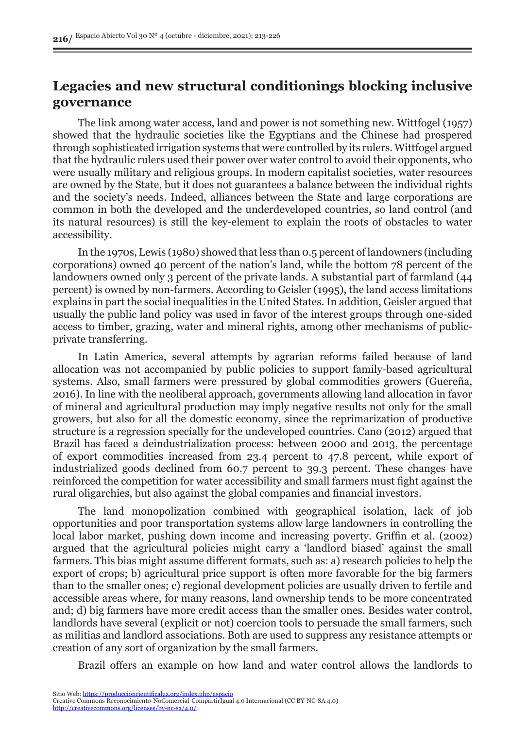## **Legacies and new structural conditionings blocking inclusive governance**

The link among water access, land and power is not something new. Wittfogel (1957) showed that the hydraulic societies like the Egyptians and the Chinese had prospered through sophisticated irrigation systems that were controlled by its rulers. Wittfogel argued that the hydraulic rulers used their power over water control to avoid their opponents, who were usually military and religious groups. In modern capitalist societies, water resources are owned by the State, but it does not guarantees a balance between the individual rights and the society's needs. Indeed, alliances between the State and large corporations are common in both the developed and the underdeveloped countries, so land control (and its natural resources) is still the key-element to explain the roots of obstacles to water accessibility.

In the 1970s, Lewis (1980) showed that less than 0.5 percent of landowners (including corporations) owned 40 percent of the nation's land, while the bottom 78 percent of the landowners owned only 3 percent of the private lands. A substantial part of farmland (44 percent) is owned by non-farmers. According to Geisler (1995), the land access limitations explains in part the social inequalities in the United States. In addition, Geisler argued that usually the public land policy was used in favor of the interest groups through one-sided access to timber, grazing, water and mineral rights, among other mechanisms of publicprivate transferring.

In Latin America, several attempts by agrarian reforms failed because of land allocation was not accompanied by public policies to support family-based agricultural systems. Also, small farmers were pressured by global commodities growers (Guereña, 2016). In line with the neoliberal approach, governments allowing land allocation in favor of mineral and agricultural production may imply negative results not only for the small growers, but also for all the domestic economy, since the reprimarization of productive structure is a regression specially for the undeveloped countries. Cano (2012) argued that Brazil has faced a deindustrialization process: between 2000 and 2013, the percentage of export commodities increased from 23.4 percent to 47.8 percent, while export of industrialized goods declined from 60.7 percent to 39.3 percent. These changes have reinforced the competition for water accessibility and small farmers must fight against the rural oligarchies, but also against the global companies and financial investors.

The land monopolization combined with geographical isolation, lack of job opportunities and poor transportation systems allow large landowners in controlling the local labor market, pushing down income and increasing poverty. Griffin et al. (2002) argued that the agricultural policies might carry a 'landlord biased' against the small farmers. This bias might assume different formats, such as: a) research policies to help the export of crops; b) agricultural price support is often more favorable for the big farmers than to the smaller ones; c) regional development policies are usually driven to fertile and accessible areas where, for many reasons, land ownership tends to be more concentrated and; d) big farmers have more credit access than the smaller ones. Besides water control, landlords have several (explicit or not) coercion tools to persuade the small farmers, such as militias and landlord associations. Both are used to suppress any resistance attempts or creation of any sort of organization by the small farmers.

Brazil offers an example on how land and water control allows the landlords to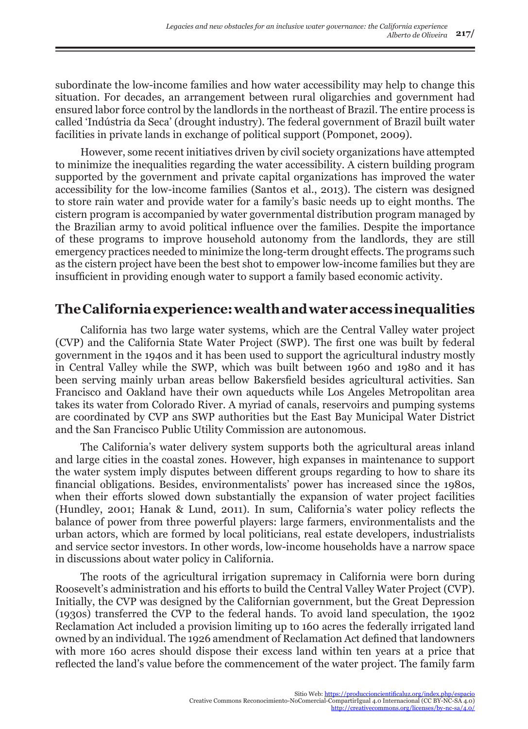subordinate the low-income families and how water accessibility may help to change this situation. For decades, an arrangement between rural oligarchies and government had ensured labor force control by the landlords in the northeast of Brazil. The entire process is called 'Indústria da Seca' (drought industry). The federal government of Brazil built water facilities in private lands in exchange of political support (Pomponet, 2009).

However, some recent initiatives driven by civil society organizations have attempted to minimize the inequalities regarding the water accessibility. A cistern building program supported by the government and private capital organizations has improved the water accessibility for the low-income families (Santos et al., 2013). The cistern was designed to store rain water and provide water for a family's basic needs up to eight months. The cistern program is accompanied by water governmental distribution program managed by the Brazilian army to avoid political influence over the families. Despite the importance of these programs to improve household autonomy from the landlords, they are still emergency practices needed to minimize the long-term drought effects. The programs such as the cistern project have been the best shot to empower low-income families but they are insufficient in providing enough water to support a family based economic activity.

## **The California experience: wealth and water access inequalities**

California has two large water systems, which are the Central Valley water project (CVP) and the California State Water Project (SWP). The first one was built by federal government in the 1940s and it has been used to support the agricultural industry mostly in Central Valley while the SWP, which was built between 1960 and 1980 and it has been serving mainly urban areas bellow Bakersfield besides agricultural activities. San Francisco and Oakland have their own aqueducts while Los Angeles Metropolitan area takes its water from Colorado River. A myriad of canals, reservoirs and pumping systems are coordinated by CVP ans SWP authorities but the East Bay Municipal Water District and the San Francisco Public Utility Commission are autonomous.

The California's water delivery system supports both the agricultural areas inland and large cities in the coastal zones. However, high expanses in maintenance to support the water system imply disputes between different groups regarding to how to share its financial obligations. Besides, environmentalists' power has increased since the 1980s, when their efforts slowed down substantially the expansion of water project facilities (Hundley, 2001; Hanak & Lund, 2011). In sum, California's water policy reflects the balance of power from three powerful players: large farmers, environmentalists and the urban actors, which are formed by local politicians, real estate developers, industrialists and service sector investors. In other words, low-income households have a narrow space in discussions about water policy in California.

The roots of the agricultural irrigation supremacy in California were born during Roosevelt's administration and his efforts to build the Central Valley Water Project (CVP). Initially, the CVP was designed by the Californian government, but the Great Depression (1930s) transferred the CVP to the federal hands. To avoid land speculation, the 1902 Reclamation Act included a provision limiting up to 160 acres the federally irrigated land owned by an individual. The 1926 amendment of Reclamation Act defined that landowners with more 160 acres should dispose their excess land within ten years at a price that reflected the land's value before the commencement of the water project. The family farm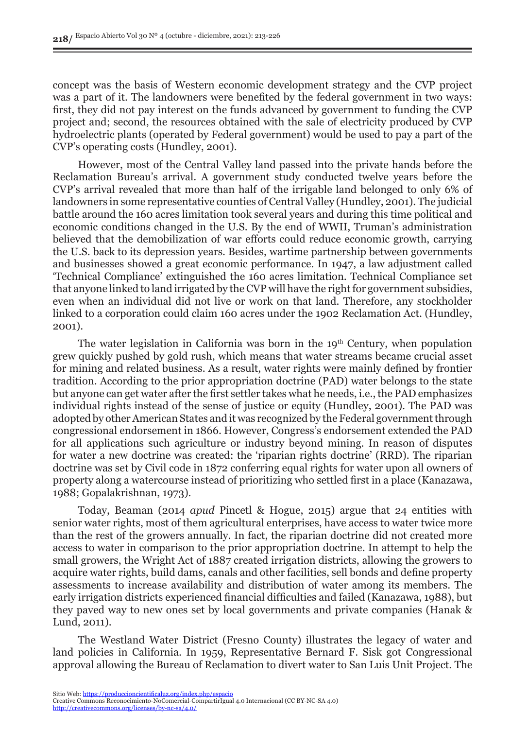concept was the basis of Western economic development strategy and the CVP project was a part of it. The landowners were benefited by the federal government in two ways: first, they did not pay interest on the funds advanced by government to funding the CVP project and; second, the resources obtained with the sale of electricity produced by CVP hydroelectric plants (operated by Federal government) would be used to pay a part of the CVP's operating costs (Hundley, 2001).

However, most of the Central Valley land passed into the private hands before the Reclamation Bureau's arrival. A government study conducted twelve years before the CVP's arrival revealed that more than half of the irrigable land belonged to only 6% of landowners in some representative counties of Central Valley (Hundley, 2001). The judicial battle around the 160 acres limitation took several years and during this time political and economic conditions changed in the U.S. By the end of WWII, Truman's administration believed that the demobilization of war efforts could reduce economic growth, carrying the U.S. back to its depression years. Besides, wartime partnership between governments and businesses showed a great economic performance. In 1947, a law adjustment called 'Technical Compliance' extinguished the 160 acres limitation. Technical Compliance set that anyone linked to land irrigated by the CVP will have the right for government subsidies, even when an individual did not live or work on that land. Therefore, any stockholder linked to a corporation could claim 160 acres under the 1902 Reclamation Act. (Hundley, 2001).

The water legislation in California was born in the  $19<sup>th</sup>$  Century, when population grew quickly pushed by gold rush, which means that water streams became crucial asset for mining and related business. As a result, water rights were mainly defined by frontier tradition. According to the prior appropriation doctrine (PAD) water belongs to the state but anyone can get water after the first settler takes what he needs, i.e., the PAD emphasizes individual rights instead of the sense of justice or equity (Hundley, 2001). The PAD was adopted by other American States and it was recognized by the Federal government through congressional endorsement in 1866. However, Congress's endorsement extended the PAD for all applications such agriculture or industry beyond mining. In reason of disputes for water a new doctrine was created: the 'riparian rights doctrine' (RRD). The riparian doctrine was set by Civil code in 1872 conferring equal rights for water upon all owners of property along a watercourse instead of prioritizing who settled first in a place (Kanazawa, 1988; Gopalakrishnan, 1973).

Today, Beaman (2014 *apud* Pincetl & Hogue, 2015) argue that 24 entities with senior water rights, most of them agricultural enterprises, have access to water twice more than the rest of the growers annually. In fact, the riparian doctrine did not created more access to water in comparison to the prior appropriation doctrine. In attempt to help the small growers, the Wright Act of 1887 created irrigation districts, allowing the growers to acquire water rights, build dams, canals and other facilities, sell bonds and define property assessments to increase availability and distribution of water among its members. The early irrigation districts experienced financial difficulties and failed (Kanazawa, 1988), but they paved way to new ones set by local governments and private companies (Hanak & Lund, 2011).

The Westland Water District (Fresno County) illustrates the legacy of water and land policies in California. In 1959, Representative Bernard F. Sisk got Congressional approval allowing the Bureau of Reclamation to divert water to San Luis Unit Project. The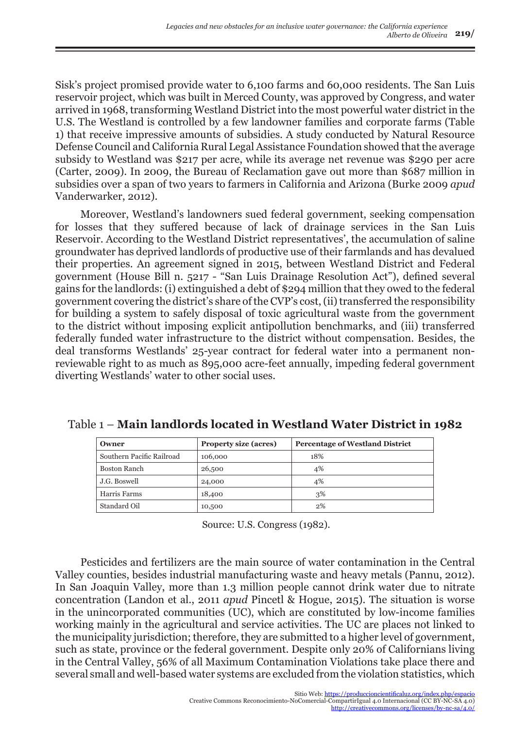Sisk's project promised provide water to 6,100 farms and 60,000 residents. The San Luis reservoir project, which was built in Merced County, was approved by Congress, and water arrived in 1968, transforming Westland District into the most powerful water district in the U.S. The Westland is controlled by a few landowner families and corporate farms (Table 1) that receive impressive amounts of subsidies. A study conducted by Natural Resource Defense Council and California Rural Legal Assistance Foundation showed that the average subsidy to Westland was \$217 per acre, while its average net revenue was \$290 per acre (Carter, 2009). In 2009, the Bureau of Reclamation gave out more than \$687 million in subsidies over a span of two years to farmers in California and Arizona (Burke 2009 *apud* Vanderwarker, 2012).

Moreover, Westland's landowners sued federal government, seeking compensation for losses that they suffered because of lack of drainage services in the San Luis Reservoir. According to the Westland District representatives', the accumulation of saline groundwater has deprived landlords of productive use of their farmlands and has devalued their properties. An agreement signed in 2015, between Westland District and Federal government (House Bill n. 5217 - "San Luis Drainage Resolution Act"), defined several gains for the landlords: (i) extinguished a debt of \$294 million that they owed to the federal government covering the district's share of the CVP's cost, (ii) transferred the responsibility for building a system to safely disposal of toxic agricultural waste from the government to the district without imposing explicit antipollution benchmarks, and (iii) transferred federally funded water infrastructure to the district without compensation. Besides, the deal transforms Westlands' 25-year contract for federal water into a permanent nonreviewable right to as much as 895,000 acre-feet annually, impeding federal government diverting Westlands' water to other social uses.

| Owner                     | <b>Property size (acres)</b> | <b>Percentage of Westland District</b> |
|---------------------------|------------------------------|----------------------------------------|
| Southern Pacific Railroad | 106,000                      | 18%                                    |
| <b>Boston Ranch</b>       | 26,500                       | 4%                                     |
| J.G. Boswell              | 24,000                       | 4%                                     |
| Harris Farms              | 18,400                       | 3%                                     |
| Standard Oil              | 10,500                       | 2%                                     |

Table 1 – **Main landlords located in Westland Water District in 1982**

Source: U.S. Congress (1982).

Pesticides and fertilizers are the main source of water contamination in the Central Valley counties, besides industrial manufacturing waste and heavy metals (Pannu, 2012). In San Joaquin Valley, more than 1.3 million people cannot drink water due to nitrate concentration (Landon et al., 2011 *apud* Pincetl & Hogue, 2015). The situation is worse in the unincorporated communities (UC), which are constituted by low-income families working mainly in the agricultural and service activities. The UC are places not linked to the municipality jurisdiction; therefore, they are submitted to a higher level of government, such as state, province or the federal government. Despite only 20% of Californians living in the Central Valley, 56% of all Maximum Contamination Violations take place there and several small and well-based water systems are excluded from the violation statistics, which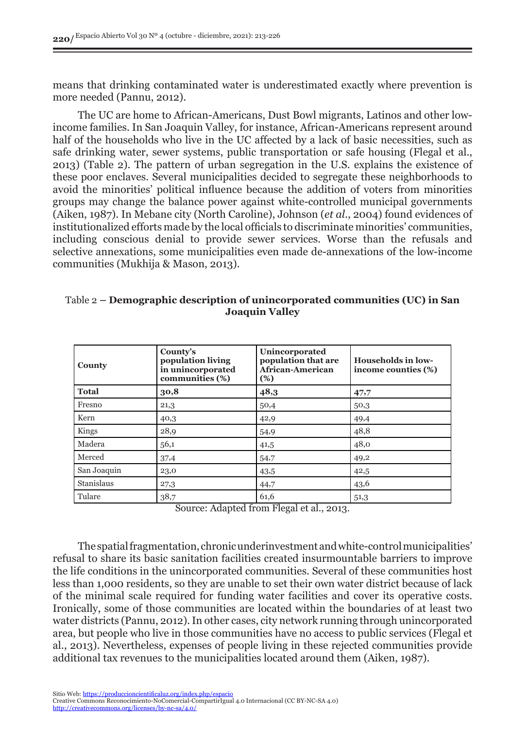means that drinking contaminated water is underestimated exactly where prevention is more needed (Pannu, 2012).

The UC are home to African-Americans, Dust Bowl migrants, Latinos and other lowincome families. In San Joaquin Valley, for instance, African-Americans represent around half of the households who live in the UC affected by a lack of basic necessities, such as safe drinking water, sewer systems, public transportation or safe housing (Flegal et al., 2013) (Table 2). The pattern of urban segregation in the U.S. explains the existence of these poor enclaves. Several municipalities decided to segregate these neighborhoods to avoid the minorities' political influence because the addition of voters from minorities groups may change the balance power against white-controlled municipal governments (Aiken, 1987). In Mebane city (North Caroline), Johnson (*et al*., 2004) found evidences of institutionalized efforts made by the local officials to discriminate minorities' communities, including conscious denial to provide sewer services. Worse than the refusals and selective annexations, some municipalities even made de-annexations of the low-income communities (Mukhija & Mason, 2013).

#### Table 2 **– Demographic description of unincorporated communities (UC) in San Joaquin Valley**

| <b>County</b> | County's<br>population living<br>in unincorporated<br>communities (%) | Unincorporated<br>population that are<br>African-American<br>(%) | <b>Households in low-</b><br>income counties (%) |
|---------------|-----------------------------------------------------------------------|------------------------------------------------------------------|--------------------------------------------------|
| <b>Total</b>  | 30,8                                                                  | 48,3                                                             | 47,7                                             |
| Fresno        | 21,3                                                                  | 50,4                                                             | 50,3                                             |
| Kern          | 40,3                                                                  | 42,9                                                             | 49,4                                             |
| Kings         | 28,9                                                                  | 54,9                                                             | 48,8                                             |
| Madera        | 56,1                                                                  | 41,5                                                             | 48,0                                             |
| Merced        | 37,4                                                                  | 54,7                                                             | 49,2                                             |
| San Joaquin   | 23,0                                                                  | 43,5                                                             | 42,5                                             |
| Stanislaus    | 27,3                                                                  | 44,7                                                             | 43,6                                             |
| Tulare        | 38,7                                                                  | 61,6                                                             | 51,3                                             |

Source: Adapted from Flegal et al., 2013.

The spatial fragmentation, chronic underinvestment and white-control municipalities' refusal to share its basic sanitation facilities created insurmountable barriers to improve the life conditions in the unincorporated communities. Several of these communities host less than 1,000 residents, so they are unable to set their own water district because of lack of the minimal scale required for funding water facilities and cover its operative costs. Ironically, some of those communities are located within the boundaries of at least two water districts (Pannu, 2012). In other cases, city network running through unincorporated area, but people who live in those communities have no access to public services (Flegal et al., 2013). Nevertheless, expenses of people living in these rejected communities provide additional tax revenues to the municipalities located around them (Aiken, 1987).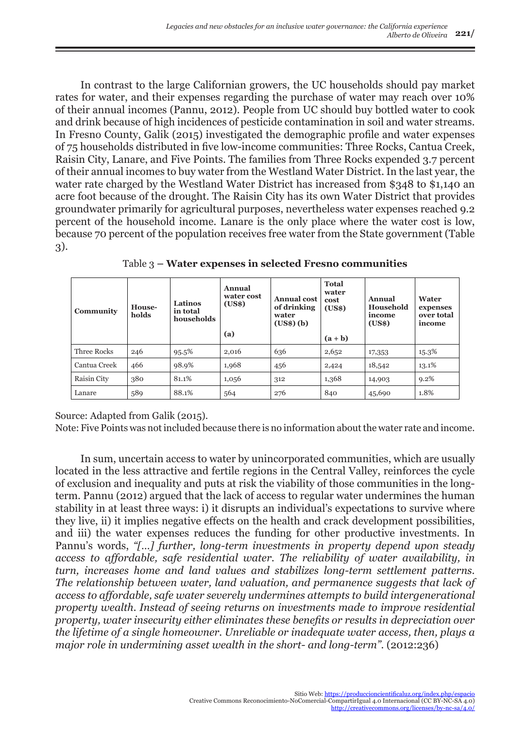In contrast to the large Californian growers, the UC households should pay market rates for water, and their expenses regarding the purchase of water may reach over 10% of their annual incomes (Pannu, 2012). People from UC should buy bottled water to cook and drink because of high incidences of pesticide contamination in soil and water streams. In Fresno County, Galik (2015) investigated the demographic profile and water expenses of 75 households distributed in five low-income communities: Three Rocks, Cantua Creek, Raisin City, Lanare, and Five Points. The families from Three Rocks expended 3.7 percent of their annual incomes to buy water from the Westland Water District. In the last year, the water rate charged by the Westland Water District has increased from \$348 to \$1,140 an acre foot because of the drought. The Raisin City has its own Water District that provides groundwater primarily for agricultural purposes, nevertheless water expenses reached 9.2 percent of the household income. Lanare is the only place where the water cost is low, because 70 percent of the population receives free water from the State government (Table 3).

| Community    | House-<br>holds | <b>Latinos</b><br>in total<br>households | Annual<br>water cost<br>(USs)<br>(a) | <b>Annual cost</b><br>of drinking<br>water<br>$(US$)$ $(b)$ | <b>Total</b><br>water<br>cost<br>(US\$)<br>$(a + b)$ | Annual<br>Household<br>income<br>(US\$) | Water<br>expenses<br>over total<br>income |
|--------------|-----------------|------------------------------------------|--------------------------------------|-------------------------------------------------------------|------------------------------------------------------|-----------------------------------------|-------------------------------------------|
| Three Rocks  | 246             | 95.5%                                    | 2,016                                | 636                                                         | 2,652                                                | 17,353                                  | 15.3%                                     |
| Cantua Creek | 466             | 98.9%                                    | 1,968                                | 456                                                         | 2,424                                                | 18,542                                  | 13.1%                                     |
| Raisin City  | 380             | 81.1%                                    | 1,056                                | 312                                                         | 1,368                                                | 14,903                                  | $9.2\%$                                   |
| Lanare       | 589             | 88.1%                                    | 564                                  | 276                                                         | 840                                                  | 45,690                                  | 1.8%                                      |

Table 3 **– Water expenses in selected Fresno communities**

Source: Adapted from Galik (2015).

Note: Five Points was not included because there is no information about the water rate and income.

In sum, uncertain access to water by unincorporated communities, which are usually located in the less attractive and fertile regions in the Central Valley, reinforces the cycle of exclusion and inequality and puts at risk the viability of those communities in the longterm. Pannu (2012) argued that the lack of access to regular water undermines the human stability in at least three ways: i) it disrupts an individual's expectations to survive where they live, ii) it implies negative effects on the health and crack development possibilities, and iii) the water expenses reduces the funding for other productive investments. In Pannu's words, *"[…] further, long-term investments in property depend upon steady access to affordable, safe residential water. The reliability of water availability, in turn, increases home and land values and stabilizes long-term settlement patterns. The relationship between water, land valuation, and permanence suggests that lack of access to affordable, safe water severely undermines attempts to build intergenerational property wealth. Instead of seeing returns on investments made to improve residential property, water insecurity either eliminates these benefits or results in depreciation over the lifetime of a single homeowner. Unreliable or inadequate water access, then, plays a major role in undermining asset wealth in the short- and long-term".* (2012:236)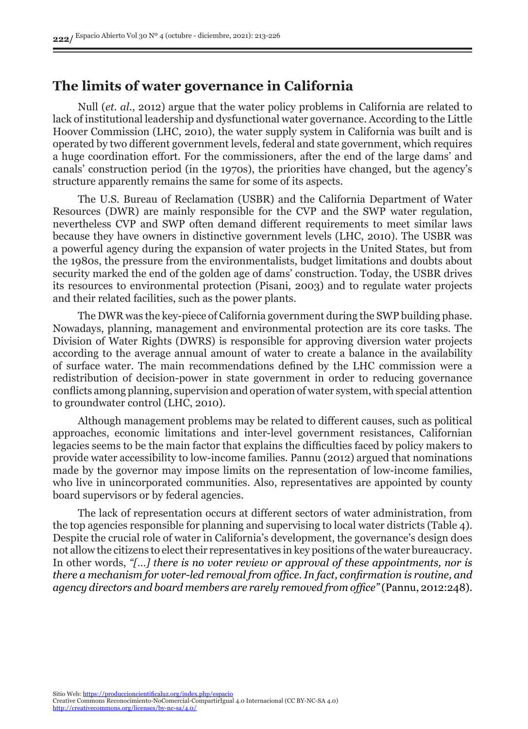### **The limits of water governance in California**

Null (*et. al*., 2012) argue that the water policy problems in California are related to lack of institutional leadership and dysfunctional water governance. According to the Little Hoover Commission (LHC, 2010), the water supply system in California was built and is operated by two different government levels, federal and state government, which requires a huge coordination effort. For the commissioners, after the end of the large dams' and canals' construction period (in the 1970s), the priorities have changed, but the agency's structure apparently remains the same for some of its aspects.

The U.S. Bureau of Reclamation (USBR) and the California Department of Water Resources (DWR) are mainly responsible for the CVP and the SWP water regulation, nevertheless CVP and SWP often demand different requirements to meet similar laws because they have owners in distinctive government levels (LHC, 2010). The USBR was a powerful agency during the expansion of water projects in the United States, but from the 1980s, the pressure from the environmentalists, budget limitations and doubts about security marked the end of the golden age of dams' construction. Today, the USBR drives its resources to environmental protection (Pisani, 2003) and to regulate water projects and their related facilities, such as the power plants.

The DWR was the key-piece of California government during the SWP building phase. Nowadays, planning, management and environmental protection are its core tasks. The Division of Water Rights (DWRS) is responsible for approving diversion water projects according to the average annual amount of water to create a balance in the availability of surface water. The main recommendations defined by the LHC commission were a redistribution of decision-power in state government in order to reducing governance conflicts among planning, supervision and operation of water system, with special attention to groundwater control (LHC, 2010).

Although management problems may be related to different causes, such as political approaches, economic limitations and inter-level government resistances, Californian legacies seems to be the main factor that explains the difficulties faced by policy makers to provide water accessibility to low-income families. Pannu (2012) argued that nominations made by the governor may impose limits on the representation of low-income families, who live in unincorporated communities. Also, representatives are appointed by county board supervisors or by federal agencies.

The lack of representation occurs at different sectors of water administration, from the top agencies responsible for planning and supervising to local water districts (Table 4). Despite the crucial role of water in California's development, the governance's design does not allow the citizens to elect their representatives in key positions of the water bureaucracy. In other words, *"[…] there is no voter review or approval of these appointments, nor is there a mechanism for voter-led removal from office. In fact, confirmation is routine, and agency directors and board members are rarely removed from office"* (Pannu, 2012:248).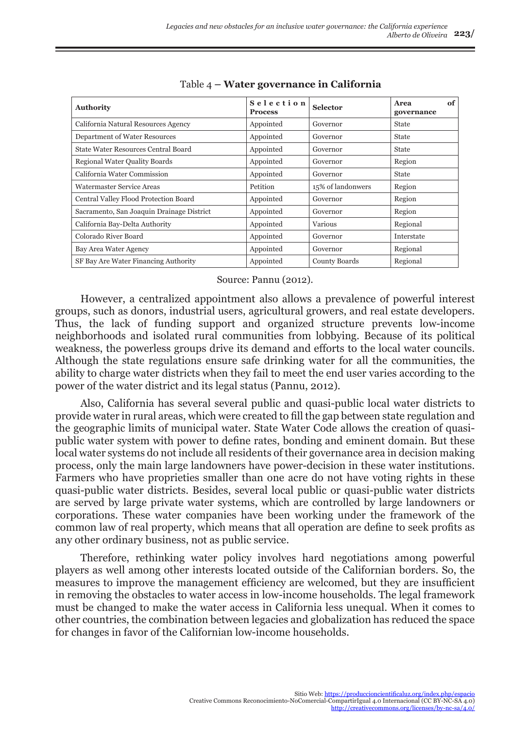| <b>Authority</b>                          | Selection<br><b>Process</b> | <b>Selector</b>   | of<br>Area<br>governance |
|-------------------------------------------|-----------------------------|-------------------|--------------------------|
| California Natural Resources Agency       | Appointed                   | Governor          | <b>State</b>             |
| Department of Water Resources             | Appointed                   | Governor          | <b>State</b>             |
| State Water Resources Central Board       | Appointed                   | Governor          | <b>State</b>             |
| <b>Regional Water Quality Boards</b>      | Appointed                   | Governor          | Region                   |
| California Water Commission               | Appointed                   | Governor          | <b>State</b>             |
| Watermaster Service Areas                 | Petition                    | 15% of landonwers | Region                   |
| Central Valley Flood Protection Board     | Appointed                   | Governor          | Region                   |
| Sacramento, San Joaquin Drainage District | Appointed                   | Governor          | Region                   |
| California Bay-Delta Authority            | Appointed                   | Various           | Regional                 |
| Colorado River Board                      | Appointed                   | Governor          | Interstate               |
| Bay Area Water Agency                     | Appointed                   | Governor          | Regional                 |
| SF Bay Are Water Financing Authority      | Appointed                   | County Boards     | Regional                 |

Table 4 **– Water governance in California**

#### Source: Pannu (2012).

However, a centralized appointment also allows a prevalence of powerful interest groups, such as donors, industrial users, agricultural growers, and real estate developers. Thus, the lack of funding support and organized structure prevents low-income neighborhoods and isolated rural communities from lobbying. Because of its political weakness, the powerless groups drive its demand and efforts to the local water councils. Although the state regulations ensure safe drinking water for all the communities, the ability to charge water districts when they fail to meet the end user varies according to the power of the water district and its legal status (Pannu, 2012).

Also, California has several several public and quasi-public local water districts to provide water in rural areas, which were created to fill the gap between state regulation and the geographic limits of municipal water. State Water Code allows the creation of quasipublic water system with power to define rates, bonding and eminent domain. But these local water systems do not include all residents of their governance area in decision making process, only the main large landowners have power-decision in these water institutions. Farmers who have proprieties smaller than one acre do not have voting rights in these quasi-public water districts. Besides, several local public or quasi-public water districts are served by large private water systems, which are controlled by large landowners or corporations. These water companies have been working under the framework of the common law of real property, which means that all operation are define to seek profits as any other ordinary business, not as public service.

Therefore, rethinking water policy involves hard negotiations among powerful players as well among other interests located outside of the Californian borders. So, the measures to improve the management efficiency are welcomed, but they are insufficient in removing the obstacles to water access in low-income households. The legal framework must be changed to make the water access in California less unequal. When it comes to other countries, the combination between legacies and globalization has reduced the space for changes in favor of the Californian low-income households.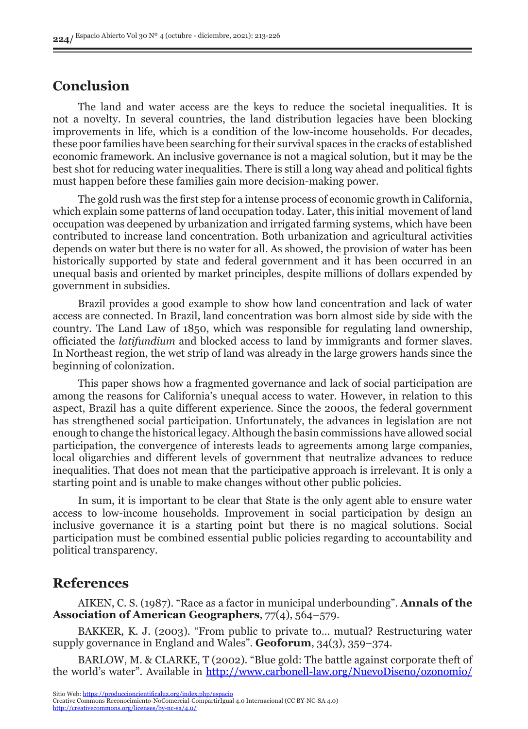### **Conclusion**

The land and water access are the keys to reduce the societal inequalities. It is not a novelty. In several countries, the land distribution legacies have been blocking improvements in life, which is a condition of the low-income households. For decades, these poor families have been searching for their survival spaces in the cracks of established economic framework. An inclusive governance is not a magical solution, but it may be the best shot for reducing water inequalities. There is still a long way ahead and political fights must happen before these families gain more decision-making power.

The gold rush was the first step for a intense process of economic growth in California, which explain some patterns of land occupation today. Later, this initial movement of land occupation was deepened by urbanization and irrigated farming systems, which have been contributed to increase land concentration. Both urbanization and agricultural activities depends on water but there is no water for all. As showed, the provision of water has been historically supported by state and federal government and it has been occurred in an unequal basis and oriented by market principles, despite millions of dollars expended by government in subsidies.

Brazil provides a good example to show how land concentration and lack of water access are connected. In Brazil, land concentration was born almost side by side with the country. The Land Law of 1850, which was responsible for regulating land ownership, officiated the *latifundium* and blocked access to land by immigrants and former slaves. In Northeast region, the wet strip of land was already in the large growers hands since the beginning of colonization.

This paper shows how a fragmented governance and lack of social participation are among the reasons for California's unequal access to water. However, in relation to this aspect, Brazil has a quite different experience. Since the 2000s, the federal government has strengthened social participation. Unfortunately, the advances in legislation are not enough to change the historical legacy. Although the basin commissions have allowed social participation, the convergence of interests leads to agreements among large companies, local oligarchies and different levels of government that neutralize advances to reduce inequalities. That does not mean that the participative approach is irrelevant. It is only a starting point and is unable to make changes without other public policies.

In sum, it is important to be clear that State is the only agent able to ensure water access to low-income households. Improvement in social participation by design an inclusive governance it is a starting point but there is no magical solutions. Social participation must be combined essential public policies regarding to accountability and political transparency.

#### **References**

AIKEN, C. S. (1987). "Race as a factor in municipal underbounding". **Annals of the Association of American Geographers**, 77(4), 564–579.

BAKKER, K. J. (2003). "From public to private to… mutual? Restructuring water supply governance in England and Wales". **Geoforum**, 34(3), 359–374.

BARLOW, M. & CLARKE, T (2002). "Blue gold: The battle against corporate theft of the world's water". Available in [http://www.carbonell-law.org/NuevoDiseno/ozonomio/](http://www.carbonell-law.org/NuevoDiseno/ozonomio/revista3/Bibliografia/BlueGold.pdf)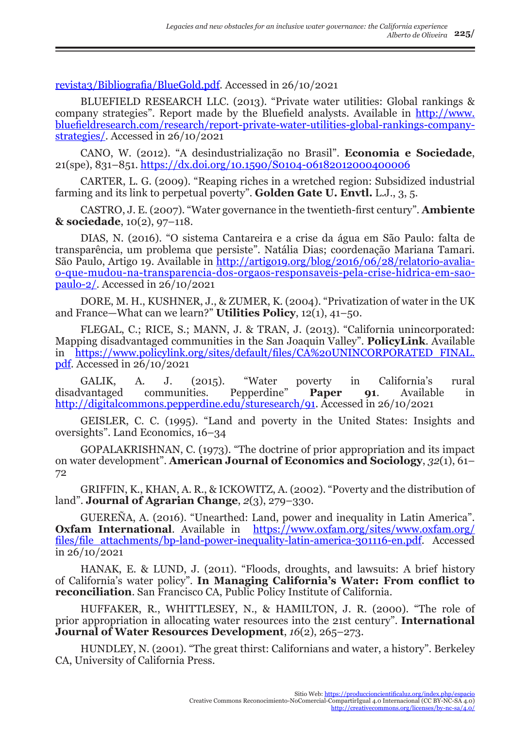[revista3/Bibliografia/BlueGold.pdf](http://www.carbonell-law.org/NuevoDiseno/ozonomio/revista3/Bibliografia/BlueGold.pdf). Accessed in 26/10/2021

BLUEFIELD RESEARCH LLC. (2013). "Private water utilities: Global rankings & company strategies". Report made by the Bluefield analysts. Available in [http://www.](http://www.bluefieldresearch.com/research/report-private-water-utilities-global-rankings-company-strategies/) [bluefieldresearch.com/research/report-private-water-utilities-global-rankings-company](http://www.bluefieldresearch.com/research/report-private-water-utilities-global-rankings-company-strategies/)[strategies/.](http://www.bluefieldresearch.com/research/report-private-water-utilities-global-rankings-company-strategies/) Accessed in 26/10/2021

CANO, W. (2012). "A desindustrialização no Brasil". **Economia e Sociedade**, 21(spe), 831–851. <https://dx.doi.org/10.1590/S0104-06182012000400006>

CARTER, L. G. (2009). "Reaping riches in a wretched region: Subsidized industrial farming and its link to perpetual poverty". **Golden Gate U. Envtl.** L.J., 3, 5.

CASTRO, J. E. (2007). "Water governance in the twentieth-first century". **Ambiente & sociedade**, 10(2), 97–118.

DIAS, N. (2016). "O sistema Cantareira e a crise da água em São Paulo: falta de transparência, um problema que persiste". Natália Dias; coordenação Mariana Tamari. São Paulo, Artigo 19. Available in [http://artigo19.org/blog/2016/06/28/relatorio-avalia](http://artigo19.org/blog/2016/06/28/relatorio-avalia-o-que-mudou-na-transparencia-dos-orgaos-responsaveis-pela-crise-hidrica-em-sao-paulo-2/)[o-que-mudou-na-transparencia-dos-orgaos-responsaveis-pela-crise-hidrica-em-sao](http://artigo19.org/blog/2016/06/28/relatorio-avalia-o-que-mudou-na-transparencia-dos-orgaos-responsaveis-pela-crise-hidrica-em-sao-paulo-2/)[paulo-2/.](http://artigo19.org/blog/2016/06/28/relatorio-avalia-o-que-mudou-na-transparencia-dos-orgaos-responsaveis-pela-crise-hidrica-em-sao-paulo-2/) Accessed in 26/10/2021

DORE, M. H., KUSHNER, J., & ZUMER, K. (2004). "Privatization of water in the UK and France—What can we learn?" **Utilities Policy**, 12(1), 41–50.

FLEGAL, C.; RICE, S.; MANN, J. & TRAN, J. (2013). "California unincorporated: Mapping disadvantaged communities in the San Joaquin Valley". **PolicyLink**. Available in [https://www.policylink.org/sites/default/files/CA%20UNINCORPORATED\\_FINAL.](https://www.policylink.org/sites/default/files/CA%20UNINCORPORATED_FINAL.pdf) [pdf](https://www.policylink.org/sites/default/files/CA%20UNINCORPORATED_FINAL.pdf). Accessed in 26/10/2021

GALIK, A. J. (2015). "Water poverty in California's rural vantaged communities. Pepperdine" **Paper 91**. Available in disadvantaged communities. Pepperdine" **Paper 91**. Available in [http://digitalcommons.pepperdine.edu/sturesearch/91.](http://digitalcommons.pepperdine.edu/sturesearch/91) Accessed in 26/10/2021

GEISLER, C. C. (1995). "Land and poverty in the United States: Insights and oversights". Land Economics, 16–34

GOPALAKRISHNAN, C. (1973). "The doctrine of prior appropriation and its impact on water development". **American Journal of Economics and Sociology**, *32*(1), 61– 72

GRIFFIN, K., KHAN, A. R., & ICKOWITZ, A. (2002). "Poverty and the distribution of land". **Journal of Agrarian Change**, *2*(3), 279–330.

GUEREÑA, A. (2016). "Unearthed: Land, power and inequality in Latin America". **Oxfam International**. Available in https://www.oxfam.org/sites/www.oxfam.org/ files/file\_attachments/bp-land-power-inequality-latin-america-301116-en.pdf. Accessed in 26/10/2021

HANAK, E. & LUND, J. (2011). "Floods, droughts, and lawsuits: A brief history of California's water policy"*.* **In Managing California's Water: From conflict to reconciliation**. San Francisco CA, Public Policy Institute of California.

HUFFAKER, R., WHITTLESEY, N., & HAMILTON, J. R. (2000). "The role of prior appropriation in allocating water resources into the 21st century". **International Journal of Water Resources Development**, *16*(2), 265–273.

HUNDLEY, N. (2001). "The great thirst: Californians and water, a history". Berkeley CA, University of California Press.